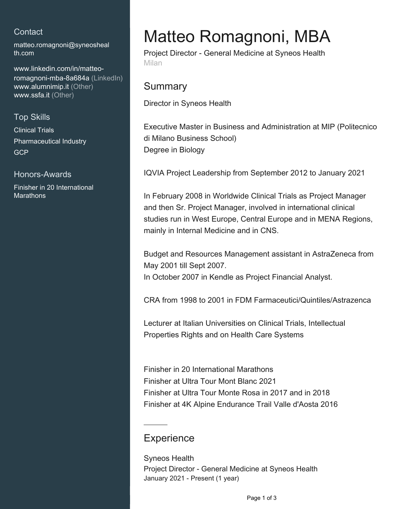## **Contact**

[matteo.romagnoni@syneosheal](mailto:matteo.romagnoni@syneoshealth.com) [th.com](mailto:matteo.romagnoni@syneoshealth.com)

[www.linkedin.com/in/matteo](https://www.linkedin.com/in/matteo-romagnoni-mba-8a684a?jobid=1234&lipi=urn%3Ali%3Apage%3Ad_jobs_easyapply_pdfgenresume%3BBwYBqXD5TP%2BeXHC9xXiCKA%3D%3D&licu=urn%3Ali%3Acontrol%3Ad_jobs_easyapply_pdfgenresume-v02_profile)[romagnoni-mba-8a684a \(LinkedIn\)](https://www.linkedin.com/in/matteo-romagnoni-mba-8a684a?jobid=1234&lipi=urn%3Ali%3Apage%3Ad_jobs_easyapply_pdfgenresume%3BBwYBqXD5TP%2BeXHC9xXiCKA%3D%3D&licu=urn%3Ali%3Acontrol%3Ad_jobs_easyapply_pdfgenresume-v02_profile) [www.alumnimip.it \(Other\)](http://www.alumnimip.it) [www.ssfa.it \(Other\)](http://www.ssfa.it)

### Top Skills

Clinical Trials Pharmaceutical Industry **GCP** 

#### Honors-Awards

Finisher in 20 International **Marathons** 

# Matteo Romagnoni, MBA

Project Director - General Medicine at Syneos Health Milan

## **Summary**

Director in Syneos Health

Executive Master in Business and Administration at MIP (Politecnico di Milano Business School) Degree in Biology

IQVIA Project Leadership from September 2012 to January 2021

In February 2008 in Worldwide Clinical Trials as Project Manager and then Sr. Project Manager, involved in international clinical studies run in West Europe, Central Europe and in MENA Regions, mainly in Internal Medicine and in CNS.

Budget and Resources Management assistant in AstraZeneca from May 2001 till Sept 2007. In October 2007 in Kendle as Project Financial Analyst.

CRA from 1998 to 2001 in FDM Farmaceutici/Quintiles/Astrazenca

Lecturer at Italian Universities on Clinical Trials, Intellectual Properties Rights and on Health Care Systems

Finisher in 20 International Marathons Finisher at Ultra Tour Mont Blanc 2021 Finisher at Ultra Tour Monte Rosa in 2017 and in 2018 Finisher at 4K Alpine Endurance Trail Valle d'Aosta 2016

## **Experience**

Syneos Health Project Director - General Medicine at Syneos Health January 2021 - Present (1 year)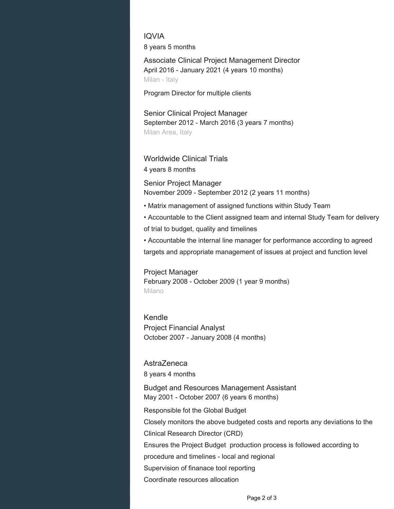IQVIA 8 years 5 months

Associate Clinical Project Management Director April 2016 - January 2021 (4 years 10 months) Milan - Italy

Program Director for multiple clients

Senior Clinical Project Manager September 2012 - March 2016 (3 years 7 months) Milan Area, Italy

#### Worldwide Clinical Trials

4 years 8 months

Senior Project Manager November 2009 - September 2012 (2 years 11 months)

- Matrix management of assigned functions within Study Team
- Accountable to the Client assigned team and internal Study Team for delivery of trial to budget, quality and timelines

• Accountable the internal line manager for performance according to agreed targets and appropriate management of issues at project and function level

Project Manager February 2008 - October 2009 (1 year 9 months) Milano

Kendle Project Financial Analyst October 2007 - January 2008 (4 months)

#### AstraZeneca

8 years 4 months

Budget and Resources Management Assistant May 2001 - October 2007 (6 years 6 months)

Responsible fot the Global Budget

Closely monitors the above budgeted costs and reports any deviations to the

Clinical Research Director (CRD)

Ensures the Project Budget production process is followed according to

procedure and timelines - local and regional

Supervision of finanace tool reporting

Coordinate resources allocation